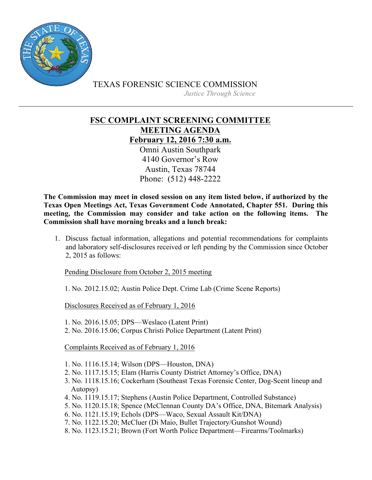

TEXAS FORENSIC SCIENCE COMMISSION

*Justice Through Science*

**FSC COMPLAINT SCREENING COMMITTEE MEETING AGENDA February 12, 2016 7:30 a.m.** Omni Austin Southpark 4140 Governor's Row Austin, Texas 78744 Phone: (512) 448-2222

**The Commission may meet in closed session on any item listed below, if authorized by the Texas Open Meetings Act, Texas Government Code Annotated, Chapter 551. During this meeting, the Commission may consider and take action on the following items. The Commission shall have morning breaks and a lunch break:**

1. Discuss factual information, allegations and potential recommendations for complaints and laboratory self-disclosures received or left pending by the Commission since October 2, 2015 as follows:

Pending Disclosure from October 2, 2015 meeting

1. No. 2012.15.02; Austin Police Dept. Crime Lab (Crime Scene Reports)

Disclosures Received as of February 1, 2016

1. No. 2016.15.05; DPS—Weslaco (Latent Print)

2. No. 2016.15.06; Corpus Christi Police Department (Latent Print)

Complaints Received as of February 1, 2016

- 1. No. 1116.15.14; Wilson (DPS—Houston, DNA)
- 2. No. 1117.15.15; Elam (Harris County District Attorney's Office, DNA)
- 3. No. 1118.15.16; Cockerham (Southeast Texas Forensic Center, Dog-Scent lineup and Autopsy)
- 4. No. 1119.15.17; Stephens (Austin Police Department, Controlled Substance)
- 5. No. 1120.15.18; Spence (McClennan County DA's Office, DNA, Bitemark Analysis)
- 6. No. 1121.15.19; Echols (DPS—Waco, Sexual Assault Kit/DNA)
- 7. No. 1122.15.20; McCluer (Di Maio, Bullet Trajectory/Gunshot Wound)
- 8. No. 1123.15.21; Brown (Fort Worth Police Department—Firearms/Toolmarks)